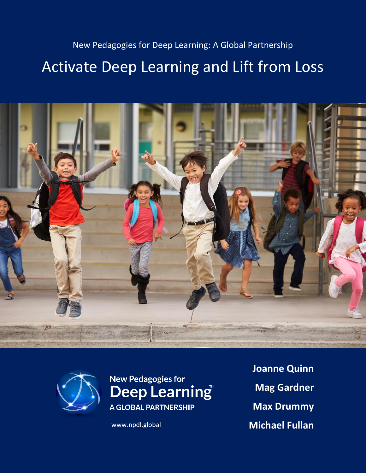# New Pedagogies for Deep Learning: A Global Partnership Activate Deep Learning and Lift from Loss





**New Pedagogies for** Deep Learning **A GLOBAL PARTNERSHIP** 

**Joanne Quinn Mag Gardner Max Drummy** www.npdl.global **Michael Fullan**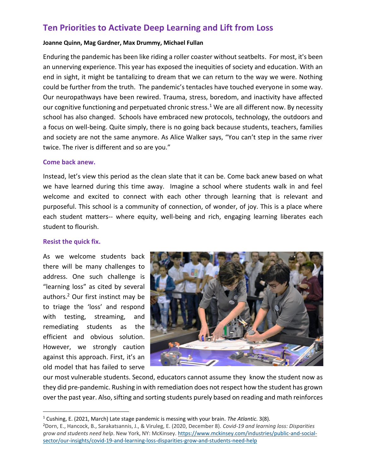# **Ten Priorities to Activate Deep Learning and Lift from Loss**

#### **Joanne Quinn, Mag Gardner, Max Drummy, Michael Fullan**

Enduring the pandemic has been like riding a roller coaster without seatbelts. For most, it's been an unnerving experience. This year has exposed the inequities of society and education. With an end in sight, it might be tantalizing to dream that we can return to the way we were. Nothing could be further from the truth. The pandemic's tentacles have touched everyone in some way. Our neuropathways have been rewired. Trauma, stress, boredom, and inactivity have affected our cognitive functioning and perpetuated chronic stress.<sup>1</sup> We are all different now. By necessity school has also changed. Schools have embraced new protocols, technology, the outdoors and a focus on well-being. Quite simply, there is no going back because students, teachers, families and society are not the same anymore. As Alice Walker says, "You can't step in the same river twice. The river is different and so are you."

#### **Come back anew.**

Instead, let's view this period as the clean slate that it can be. Come back anew based on what we have learned during this time away. Imagine a school where students walk in and feel welcome and excited to connect with each other through learning that is relevant and purposeful. This school is a community of connection, of wonder, of joy. This is a place where each student matters-- where equity, well-being and rich, engaging learning liberates each student to flourish.

#### **Resist the quick fix.**

As we welcome students back there will be many challenges to address. One such challenge is "learning loss" as cited by several authors. <sup>2</sup> Our first instinct may be to triage the 'loss' and respond with testing, streaming, and remediating students as the efficient and obvious solution. However, we strongly caution against this approach. First, it's an old model that has failed to serve



our most vulnerable students. Second, educators cannot assume they know the student now as they did pre-pandemic. Rushing in with remediation does not respect how the student has grown over the past year. Also, sifting and sorting students purely based on reading and math reinforces

<sup>1</sup> Cushing, E. (2021, March) Late stage pandemic is messing with your brain. *The Atlantic.* 3(8).

<sup>2</sup>Dorn, E., Hancock, B., Sarakatsannis, J., & Viruleg, E. (2020, December 8). *Covid-19 and learning loss: Disparities grow and students need help*. New York, NY: McKinsey. [https://www.mckinsey.com/industries/public-and-social](https://www.mckinsey.com/industries/public-and-social-sector/our-insights/covid-19-and-learning-loss-disparities-grow-and-students-need-help)[sector/our-insights/covid-19-and-learning-loss-disparities-grow-and-students-need-help](https://www.mckinsey.com/industries/public-and-social-sector/our-insights/covid-19-and-learning-loss-disparities-grow-and-students-need-help)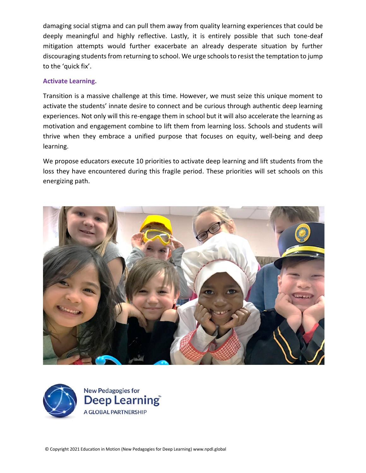damaging social stigma and can pull them away from quality learning experiences that could be deeply meaningful and highly reflective. Lastly, it is entirely possible that such tone-deaf mitigation attempts would further exacerbate an already desperate situation by further discouraging students from returning to school. We urge schools to resist the temptation to jump to the 'quick fix'.

### **Activate Learning.**

Transition is a massive challenge at this time. However, we must seize this unique moment to activate the students' innate desire to connect and be curious through authentic deep learning experiences. Not only will this re-engage them in school but it will also accelerate the learning as motivation and engagement combine to lift them from learning loss. Schools and students will thrive when they embrace a unified purpose that focuses on equity, well-being and deep learning.

We propose educators execute 10 priorities to activate deep learning and lift students from the loss they have encountered during this fragile period. These priorities will set schools on this energizing path.





**New Pedagogies for** Deep Learning **A GLOBAL PARTNERSHIP**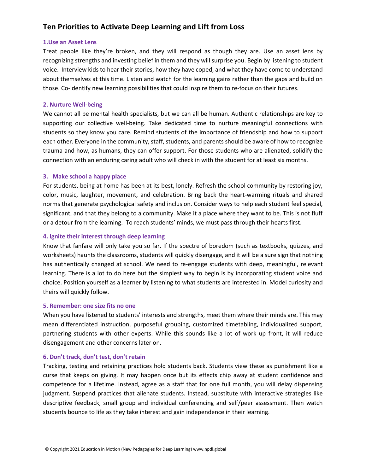## **Ten Priorities to Activate Deep Learning and Lift from Loss**

#### **1.Use an Asset Lens**

Treat people like they're broken, and they will respond as though they are. Use an asset lens by recognizing strengths and investing belief in them and they will surprise you. Begin by listening to student voice. Interview kids to hear their stories, how they have coped, and what they have come to understand about themselves at this time. Listen and watch for the learning gains rather than the gaps and build on those. Co-identify new learning possibilities that could inspire them to re-focus on their futures.

#### **2. Nurture Well-being**

We cannot all be mental health specialists, but we can all be human. Authentic relationships are key to supporting our collective well-being. Take dedicated time to nurture meaningful connections with students so they know you care. Remind students of the importance of friendship and how to support each other. Everyone in the community, staff, students, and parents should be aware of how to recognize trauma and how, as humans, they can offer support. For those students who are alienated, solidify the connection with an enduring caring adult who will check in with the student for at least six months.

#### **3. Make school a happy place**

For students, being at home has been at its best, lonely. Refresh the school community by restoring joy, color, music, laughter, movement, and celebration. Bring back the heart-warming rituals and shared norms that generate psychological safety and inclusion. Consider ways to help each student feel special, significant, and that they belong to a community. Make it a place where they want to be. This is not fluff or a detour from the learning. To reach students' minds, we must pass through their hearts first.

#### **4. Ignite their interest through deep learning**

Know that fanfare will only take you so far. If the spectre of boredom (such as textbooks, quizzes, and worksheets) haunts the classrooms, students will quickly disengage, and it will be a sure sign that nothing has authentically changed at school. We need to re-engage students with deep, meaningful, relevant learning. There is a lot to do here but the simplest way to begin is by incorporating student voice and choice. Position yourself as a learner by listening to what students are interested in. Model curiosity and theirs will quickly follow.

#### **5. Remember: one size fits no one**

When you have listened to students' interests and strengths, meet them where their minds are. This may mean differentiated instruction, purposeful grouping, customized timetabling, individualized support, partnering students with other experts. While this sounds like a lot of work up front, it will reduce disengagement and other concerns later on.

#### **6. Don't track, don't test, don't retain**

Tracking, testing and retaining practices hold students back. Students view these as punishment like a curse that keeps on giving. It may happen once but its effects chip away at student confidence and competence for a lifetime. Instead, agree as a staff that for one full month, you will delay dispensing judgment. Suspend practices that alienate students. Instead, substitute with interactive strategies like descriptive feedback, small group and individual conferencing and self/peer assessment. Then watch students bounce to life as they take interest and gain independence in their learning.